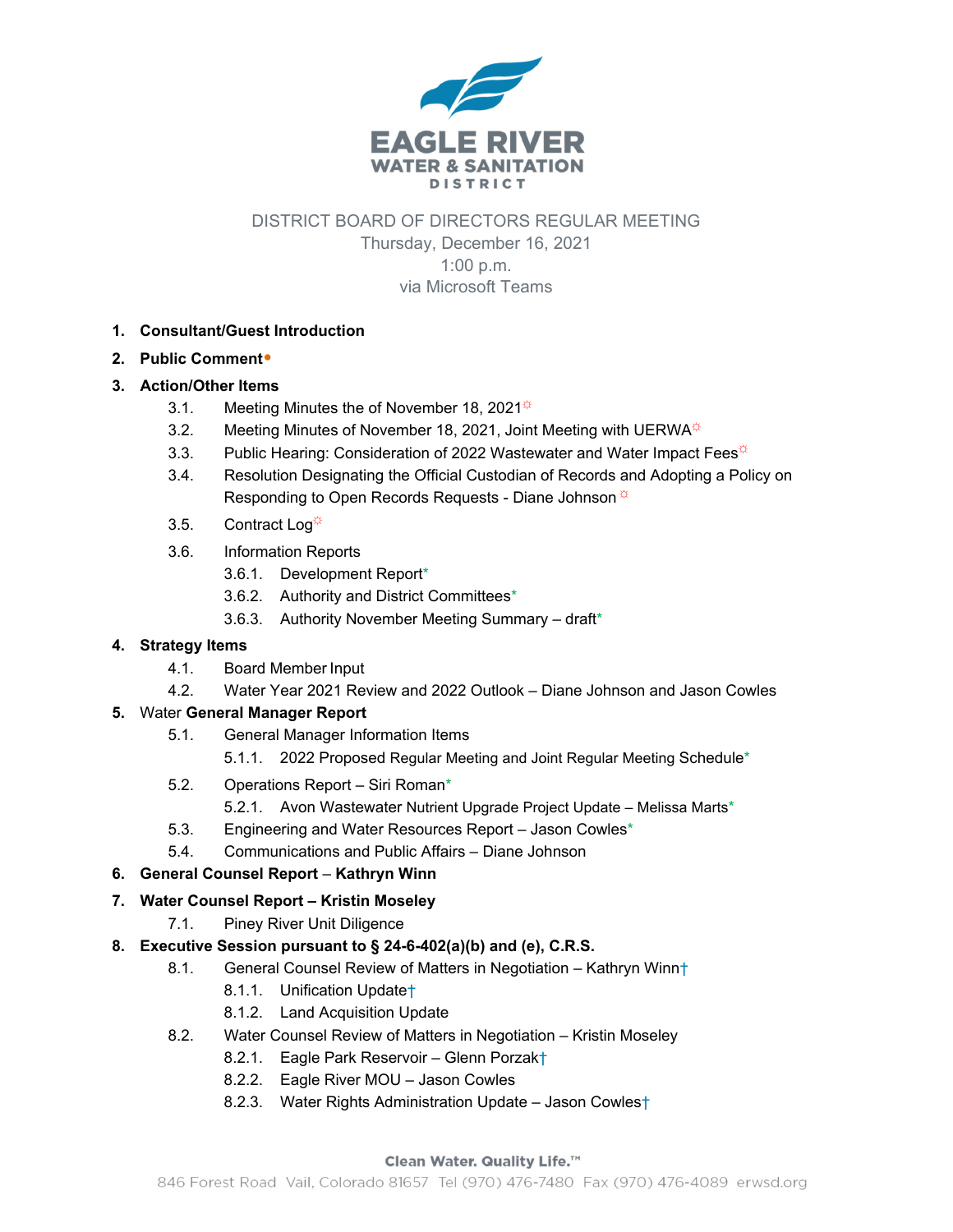

DISTRICT BOARD OF DIRECTORS REGULAR MEETING

Thursday, December 16, 2021 1:00 p.m. via Microsoft Teams

- **1. Consultant/Guest Introduction**
- **2. Public Comment**•

### **3. Action/Other Items**

- 3.1. Meeting Minutes the of November 18, 2021 $\frac{1}{x}$
- 3.2. Meeting Minutes of November 18, 2021, Joint Meeting with UERWA $*$
- 3.3. Public Hearing: Consideration of 2022 Wastewater and Water Impact Fees<sup>\*</sup>
- 3.4. Resolution Designating the Official Custodian of Records and Adopting a Policy on Responding to Open Records Requests - Diane Johnson  $*$
- 3.5. Contract Log<sup> $\ddot{\phi}$ </sup>
- 3.6. Information Reports
	- 3.6.1. Development Report\*
	- 3.6.2. Authority and District Committees\*
	- 3.6.3. Authority November Meeting Summary draft\*

### **4. Strategy Items**

- 4.1. Board Member Input
- 4.2. Water Year 2021 Review and 2022 Outlook Diane Johnson and Jason Cowles

### **5.** Water **General Manager Report**

- 5.1. General Manager Information Items
	- 5.1.1. 2022 Proposed Regular Meeting and Joint Regular Meeting Schedule\*
- 5.2. Operations Report Siri Roman\*
	- 5.2.1. Avon Wastewater Nutrient Upgrade Project Update Melissa Marts\*
- 5.3. Engineering and Water Resources Report Jason Cowles\*
- 5.4. Communications and Public Affairs Diane Johnson
- **6.** General Counsel Report Kathryn Winn

### **7. Water Counsel Report – Kristin Moseley**

7.1. Piney River Unit Diligence

### **8. Executive Session pursuant to § 24-6-402(a)(b) and (e), C.R.S.**

- 8.1. General Counsel Review of Matters in Negotiation Kathryn Winn+
	- 8.1.1. Unification Update†
	- 8.1.2. Land Acquisition Update
- 8.2. Water Counsel Review of Matters in Negotiation Kristin Moseley
	- 8.2.1. Eagle Park Reservoir Glenn Porzak†
	- 8.2.2. Eagle River MOU Jason Cowles
	- 8.2.3. Water Rights Administration Update Jason Cowles†

#### Clean Water. Quality Life.™